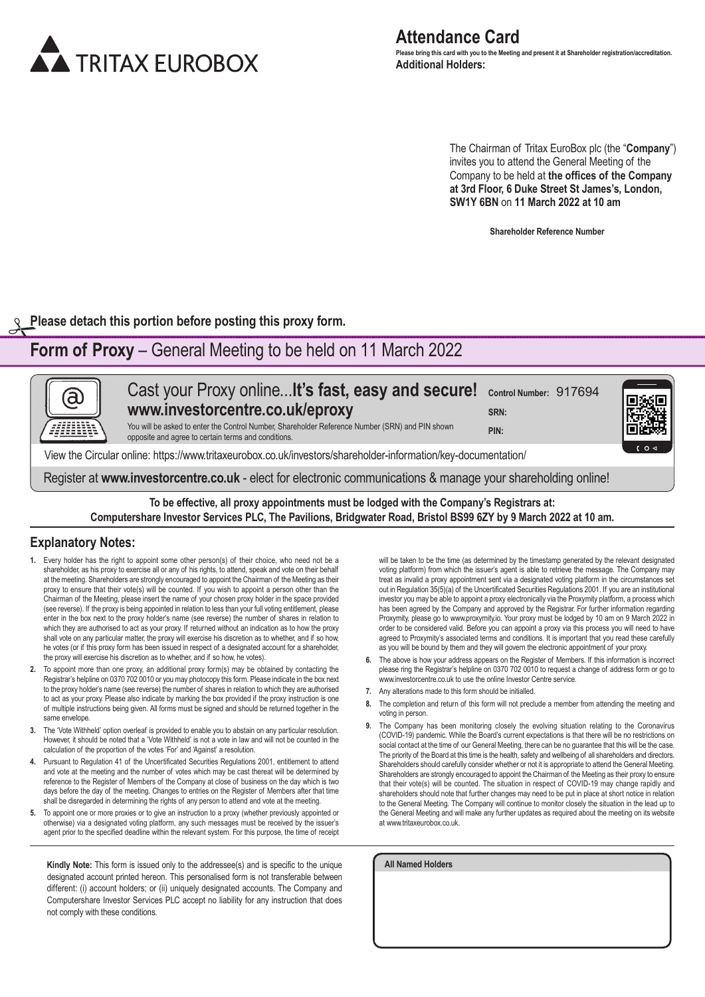

The Chairman of Tritax EuroBox plc (the "**Company**") invites you to attend the General Meeting of the Company to be held at **the offices of the Company at 3rd Floor, 6 Duke Street St James's, London, SW1Y 6BN** on **11 March 2022 at 10 am**

**Shareholder Reference Number**

**Please detach this portion before posting this proxy form.**

# **Form of Proxy** – General Meeting to be held on 11 March 2022

| (a)                                                                                                            | Cast your Proxy online It's fast, easy and secure! Control Number: 917694<br>www.investorcentre.co.uk/eproxy<br>You will be asked to enter the Control Number, Shareholder Reference Number (SRN) and PIN shown<br>opposite and agree to certain terms and conditions. | SRN:<br>PIN: |  |
|----------------------------------------------------------------------------------------------------------------|------------------------------------------------------------------------------------------------------------------------------------------------------------------------------------------------------------------------------------------------------------------------|--------------|--|
| View the Circular online: https://www.tritaxeurobox.co.uk/investors/shareholder-information/key-documentation/ |                                                                                                                                                                                                                                                                        |              |  |
| Register at www.investorcentre.co.uk - elect for electronic communications & manage your shareholding online!  |                                                                                                                                                                                                                                                                        |              |  |

**To be effective, all proxy appointments must be lodged with the Company's Registrars at:** Computershare Investor Services PLC, The Pavilions, Bridgwater Road, Bristol BS99 6ZY by 9 March 2022 at 10 am.

### **Explanatory Notes:**

- **1.** Every holder has the right to appoint some other person(s) of their choice, who need not be a shareholder, as his proxy to exercise all or any of his rights, to attend, speak and vote on their behalf at the meeting. Shareholders are strongly encouraged to appoint the Chairman of the Meeting as their proxy to ensure that their vote(s) will be counted. If you wish to appoint a person other than the Chairman of the Meeting, please insert the name of your chosen proxy holder in the space provided (see reverse). If the proxy is being appointed in relation to less than your full voting entitlement, please enter in the box next to the proxy holder's name (see reverse) the number of shares in relation to which they are authorised to act as your proxy. If returned without an indication as to how the proxy shall vote on any particular matter, the proxy will exercise his discretion as to whether, and if so how, he votes (or if this proxy form has been issued in respect of a designated account for a shareholder, the proxy will exercise his discretion as to whether, and if so how, he votes).
- **2.** To appoint more than one proxy, an additional proxy form(s) may be obtained by contacting the Registrar's helpline on 0370 702 0010 or you may photocopy this form. Please indicate in the box next to the proxy holder's name (see reverse) the number of shares in relation to which they are authorised to act as your proxy. Please also indicate by marking the box provided if the proxy instruction is one of multiple instructions being given. All forms must be signed and should be returned together in the same envelope.
- **3.** The 'Vote Withheld' option overleaf is provided to enable you to abstain on any particular resolution. However, it should be noted that a 'Vote Withheld' is not a vote in law and will not be counted in the calculation of the proportion of the votes 'For' and 'Against' a resolution.
- **4.** Pursuant to Regulation 41 of the Uncertificated Securities Regulations 2001, entitlement to attend and vote at the meeting and the number of votes which may be cast thereat will be determined by reference to the Register of Members of the Company at close of business on the day which is two days before the day of the meeting. Changes to entries on the Register of Members after that time shall be disregarded in determining the rights of any person to attend and vote at the meeting.
- **5.** To appoint one or more proxies or to give an instruction to a proxy (whether previously appointed or otherwise) via a designated voting platform, any such messages must be received by the issuer's agent prior to the specified deadline within the relevant system. For this purpose, the time of receipt

**Kindly Note:** This form is issued only to the addressee(s) and is specific to the unique designated account printed hereon. This personalised form is not transferable between different: (i) account holders; or (ii) uniquely designated accounts. The Company and Computershare Investor Services PLC accept no liability for any instruction that does not comply with these conditions.

will be taken to be the time (as determined by the timestamp generated by the relevant designated voting platform) from which the issuer's agent is able to retrieve the message. The Company may treat as invalid a proxy appointment sent via a designated voting platform in the circumstances set out in Regulation 35(5)(a) of the Uncertificated Securities Regulations 2001. If you are an institutional investor you may be able to appoint a proxy electronically via the Proxymity platform, a process which has been agreed by the Company and approved by the Registrar. For further information regarding Proxymity, please go to www.proxymity.io. Your proxy must be lodged by 10 am on 9 March 2022 in order to be considered valid. Before you can appoint a proxy via this process you will need to have agreed to Proxymity's associated terms and conditions. It is important that you read these carefully as you will be bound by them and they will govern the electronic appointment of your proxy.

- **6.** The above is how your address appears on the Register of Members. If this information is incorrect please ring the Registrar's helpline on 0370 702 0010 to request a change of address form or go to www.investorcentre.co.uk to use the online Investor Centre service.
- **7.** Any alterations made to this form should be initialled.
- **8.** The completion and return of this form will not preclude a member from attending the meeting and voting in person.
- **9.** The Company has been monitoring closely the evolving situation relating to the Coronavirus (COVID-19) pandemic. While the Board's current expectations is that there will be no restrictions on social contact at the time of our General Meeting, there can be no guarantee that this will be the case. The priority of the Board at this time is the health, safety and wellbeing of all shareholders and directors. Shareholders should carefully consider whether or not it is appropriate to attend the General Meeting. Shareholders are strongly encouraged to appoint the Chairman of the Meeting as their proxy to ensure that their vote(s) will be counted. The situation in respect of COVID-19 may change rapidly and shareholders should note that further changes may need to be put in place at short notice in relation to the General Meeting. The Company will continue to monitor closely the situation in the lead up to the General Meeting and will make any further updates as required about the meeting on its website at www.tritaxeurobox.co.uk.

**All Named Holders**